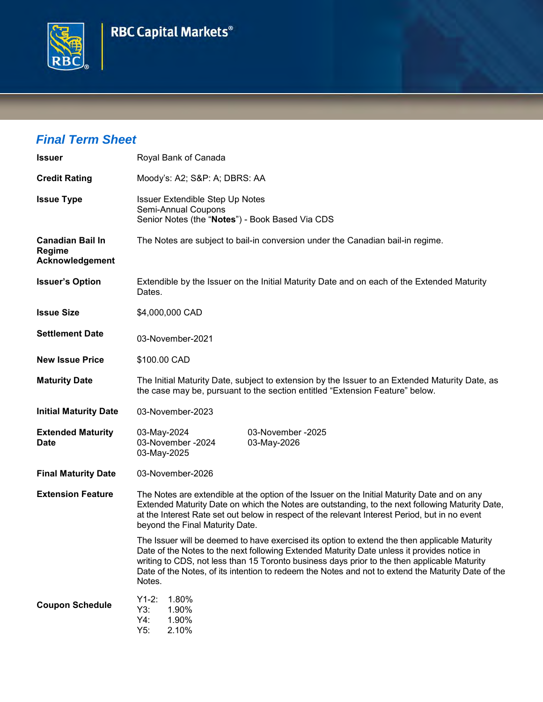## **RBC Capital Markets®**



## *Final Term Sheet*

| <b>Issuer</b>                                               | Royal Bank of Canada                                                                                                                                                                                                                                                                                                                                                                                         |  |  |  |
|-------------------------------------------------------------|--------------------------------------------------------------------------------------------------------------------------------------------------------------------------------------------------------------------------------------------------------------------------------------------------------------------------------------------------------------------------------------------------------------|--|--|--|
| <b>Credit Rating</b>                                        | Moody's: A2; S&P: A; DBRS: AA                                                                                                                                                                                                                                                                                                                                                                                |  |  |  |
| <b>Issue Type</b>                                           | Issuer Extendible Step Up Notes<br>Semi-Annual Coupons<br>Senior Notes (the "Notes") - Book Based Via CDS                                                                                                                                                                                                                                                                                                    |  |  |  |
| <b>Canadian Bail In</b><br><b>Regime</b><br>Acknowledgement | The Notes are subject to bail-in conversion under the Canadian bail-in regime.                                                                                                                                                                                                                                                                                                                               |  |  |  |
| <b>Issuer's Option</b>                                      | Extendible by the Issuer on the Initial Maturity Date and on each of the Extended Maturity<br>Dates.                                                                                                                                                                                                                                                                                                         |  |  |  |
| <b>Issue Size</b>                                           | \$4,000,000 CAD                                                                                                                                                                                                                                                                                                                                                                                              |  |  |  |
| <b>Settlement Date</b>                                      | 03-November-2021                                                                                                                                                                                                                                                                                                                                                                                             |  |  |  |
| <b>New Issue Price</b>                                      | \$100.00 CAD                                                                                                                                                                                                                                                                                                                                                                                                 |  |  |  |
| <b>Maturity Date</b>                                        | The Initial Maturity Date, subject to extension by the Issuer to an Extended Maturity Date, as<br>the case may be, pursuant to the section entitled "Extension Feature" below.                                                                                                                                                                                                                               |  |  |  |
| <b>Initial Maturity Date</b>                                | 03-November-2023                                                                                                                                                                                                                                                                                                                                                                                             |  |  |  |
| <b>Extended Maturity</b><br><b>Date</b>                     | 03-November -2025<br>03-May-2024<br>03-November -2024<br>03-May-2026<br>03-May-2025                                                                                                                                                                                                                                                                                                                          |  |  |  |
| <b>Final Maturity Date</b>                                  | 03-November-2026                                                                                                                                                                                                                                                                                                                                                                                             |  |  |  |
| <b>Extension Feature</b>                                    | The Notes are extendible at the option of the Issuer on the Initial Maturity Date and on any<br>Extended Maturity Date on which the Notes are outstanding, to the next following Maturity Date,<br>at the Interest Rate set out below in respect of the relevant Interest Period, but in no event<br>beyond the Final Maturity Date.                                                                         |  |  |  |
|                                                             | The Issuer will be deemed to have exercised its option to extend the then applicable Maturity<br>Date of the Notes to the next following Extended Maturity Date unless it provides notice in<br>writing to CDS, not less than 15 Toronto business days prior to the then applicable Maturity<br>Date of the Notes, of its intention to redeem the Notes and not to extend the Maturity Date of the<br>Notes. |  |  |  |
| <b>Coupon Schedule</b>                                      | $Y1-2:$<br>1.80%<br>Y3:<br>1.90%<br>Y4:<br>1.90%<br>Y5:<br>2.10%                                                                                                                                                                                                                                                                                                                                             |  |  |  |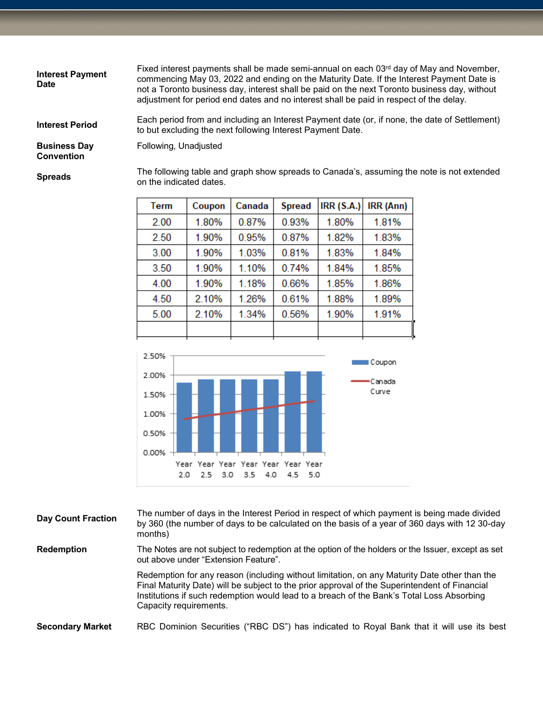| <b>Interest Payment</b><br><b>Date</b>   | Fixed interest payments shall be made semi-annual on each 03rd day of May and November,<br>commencing May 03, 2022 and ending on the Maturity Date. If the Interest Payment Date is<br>not a Toronto business day, interest shall be paid on the next Toronto business day, without<br>adjustment for period end dates and no interest shall be paid in respect of the delay. |
|------------------------------------------|-------------------------------------------------------------------------------------------------------------------------------------------------------------------------------------------------------------------------------------------------------------------------------------------------------------------------------------------------------------------------------|
| <b>Interest Period</b>                   | Each period from and including an Interest Payment date (or, if none, the date of Settlement)<br>to but excluding the next following Interest Payment Date.                                                                                                                                                                                                                   |
| <b>Business Day</b><br><b>Convention</b> | Following, Unadjusted                                                                                                                                                                                                                                                                                                                                                         |
| <b>Spreads</b>                           | The following table and graph show spreads to Canada's, assuming the note is not extended<br>on the indicated dates.                                                                                                                                                                                                                                                          |

| <b>Term</b> | Coupon | Canada | <b>Spread</b> | IRR(S.A.) | IRR (Ann) |
|-------------|--------|--------|---------------|-----------|-----------|
| 2.00        | 1.80%  | 0.87%  | 0.93%         | 1.80%     | 1.81%     |
| 2.50        | 1.90%  | 0.95%  | 0.87%         | 1.82%     | 1.83%     |
| 3.00        | 1.90%  | 1.03%  | 0.81%         | 1.83%     | 1.84%     |
| 3.50        | 1.90%  | 1.10%  | 0.74%         | 1.84%     | 1.85%     |
| 4.00        | 1.90%  | 1.18%  | 0.66%         | 1.85%     | 1.86%     |
| 4.50        | 2.10%  | 1.26%  | 0.61%         | 1.88%     | 1.89%     |
| 5.00        | 2.10%  | 1.34%  | 0.56%         | 1.90%     | 1.91%     |
|             |        |        |               |           |           |



| <b>Day Count Fraction</b> | The number of days in the Interest Period in respect of which payment is being made divided<br>by 360 (the number of days to be calculated on the basis of a year of 360 days with 12 30-day<br>months) |
|---------------------------|---------------------------------------------------------------------------------------------------------------------------------------------------------------------------------------------------------|
| <b>Redemption</b>         | The Notes are not subject to redemption at the option of the holders or the Issuer, except as set<br>out above under "Extension Feature".                                                               |
|                           | Redemption for any reason (including without limitation, on any Maturity Date other than the                                                                                                            |

Final Maturity Date) will be subject to the prior approval of the Superintendent of Financial Institutions if such redemption would lead to a breach of the Bank's Total Loss Absorbing Capacity requirements.

**Secondary Market** RBC Dominion Securities ("RBC DS") has indicated to Royal Bank that it will use its best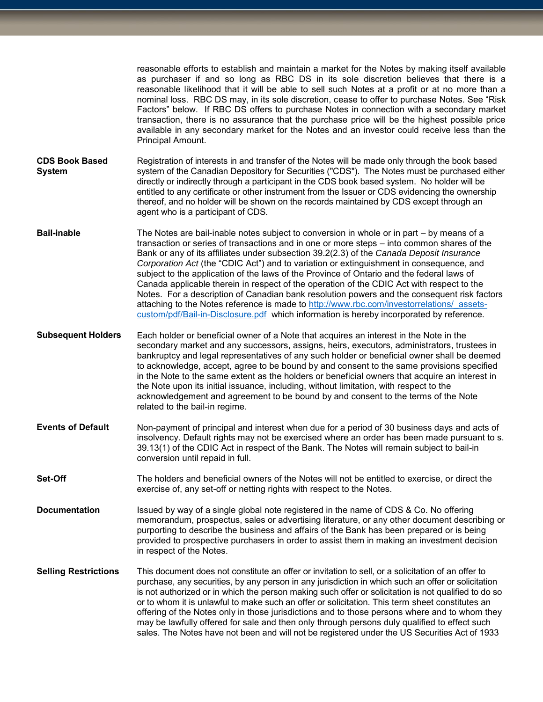reasonable efforts to establish and maintain a market for the Notes by making itself available as purchaser if and so long as RBC DS in its sole discretion believes that there is a reasonable likelihood that it will be able to sell such Notes at a profit or at no more than a nominal loss. RBC DS may, in its sole discretion, cease to offer to purchase Notes. See "Risk Factors" below. If RBC DS offers to purchase Notes in connection with a secondary market transaction, there is no assurance that the purchase price will be the highest possible price available in any secondary market for the Notes and an investor could receive less than the Principal Amount. Registration of interests in and transfer of the Notes will be made only through the book based

- **CDS Book Based System** system of the Canadian Depository for Securities ("CDS"). The Notes must be purchased either directly or indirectly through a participant in the CDS book based system. No holder will be entitled to any certificate or other instrument from the Issuer or CDS evidencing the ownership thereof, and no holder will be shown on the records maintained by CDS except through an agent who is a participant of CDS.
- **Bail-inable** The Notes are bail-inable notes subject to conversion in whole or in part by means of a transaction or series of transactions and in one or more steps – into common shares of the Bank or any of its affiliates under subsection 39.2(2.3) of the *Canada Deposit Insurance Corporation Act* (the "CDIC Act") and to variation or extinguishment in consequence, and subject to the application of the laws of the Province of Ontario and the federal laws of Canada applicable therein in respect of the operation of the CDIC Act with respect to the Notes. For a description of Canadian bank resolution powers and the consequent risk factors attaching to the Notes reference is made to http://www.rbc.com/investorrelations/assets[custom/pdf/Bail-in-Disclosure.pdf](http://www.rbc.com/investorrelations/_assets-custom/pdf/Bail-in-Disclosure.pdf) which information is hereby incorporated by reference.
- **Subsequent Holders** Each holder or beneficial owner of a Note that acquires an interest in the Note in the secondary market and any successors, assigns, heirs, executors, administrators, trustees in bankruptcy and legal representatives of any such holder or beneficial owner shall be deemed to acknowledge, accept, agree to be bound by and consent to the same provisions specified in the Note to the same extent as the holders or beneficial owners that acquire an interest in the Note upon its initial issuance, including, without limitation, with respect to the acknowledgement and agreement to be bound by and consent to the terms of the Note related to the bail-in regime.
- **Events of Default** Non-payment of principal and interest when due for a period of 30 business days and acts of insolvency. Default rights may not be exercised where an order has been made pursuant to s. 39.13(1) of the CDIC Act in respect of the Bank. The Notes will remain subject to bail-in conversion until repaid in full.
- **Set-Off** The holders and beneficial owners of the Notes will not be entitled to exercise, or direct the exercise of, any set-off or netting rights with respect to the Notes.
- **Documentation** Issued by way of a single global note registered in the name of CDS & Co. No offering memorandum, prospectus, sales or advertising literature, or any other document describing or purporting to describe the business and affairs of the Bank has been prepared or is being provided to prospective purchasers in order to assist them in making an investment decision in respect of the Notes.
- **Selling Restrictions** This document does not constitute an offer or invitation to sell, or a solicitation of an offer to purchase, any securities, by any person in any jurisdiction in which such an offer or solicitation is not authorized or in which the person making such offer or solicitation is not qualified to do so or to whom it is unlawful to make such an offer or solicitation. This term sheet constitutes an offering of the Notes only in those jurisdictions and to those persons where and to whom they may be lawfully offered for sale and then only through persons duly qualified to effect such sales. The Notes have not been and will not be registered under the US Securities Act of 1933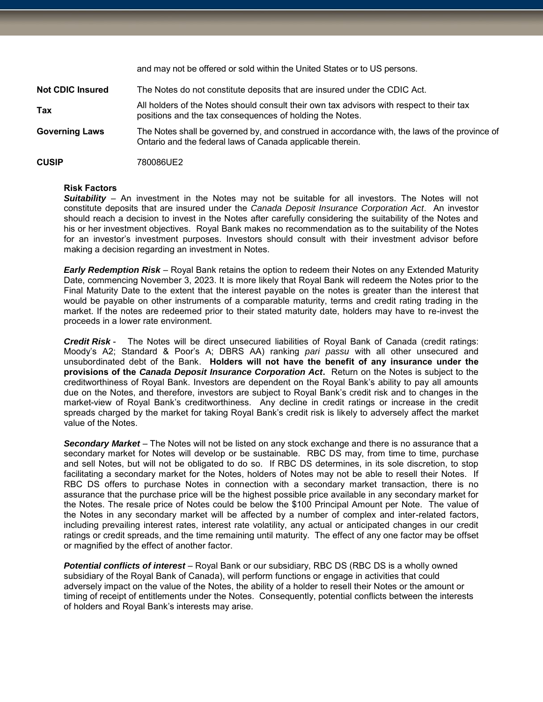and may not be offered or sold within the United States or to US persons. **Not CDIC Insured** The Notes do not constitute deposits that are insured under the CDIC Act. **Tax** All holders of the Notes should consult their own tax advisors with respect to their tax positions and the tax consequences of holding the Notes. **Governing Laws** The Notes shall be governed by, and construed in accordance with, the laws of the province of Ontario and the federal laws of Canada applicable therein. **CUSIP** 780086UE2

## **Risk Factors**

**Suitability** – An investment in the Notes may not be suitable for all investors. The Notes will not constitute deposits that are insured under the *Canada Deposit Insurance Corporation Act*. An investor should reach a decision to invest in the Notes after carefully considering the suitability of the Notes and his or her investment objectives. Royal Bank makes no recommendation as to the suitability of the Notes for an investor's investment purposes. Investors should consult with their investment advisor before making a decision regarding an investment in Notes.

*Early Redemption Risk* – Royal Bank retains the option to redeem their Notes on any Extended Maturity Date, commencing November 3, 2023. It is more likely that Royal Bank will redeem the Notes prior to the Final Maturity Date to the extent that the interest payable on the notes is greater than the interest that would be payable on other instruments of a comparable maturity, terms and credit rating trading in the market. If the notes are redeemed prior to their stated maturity date, holders may have to re-invest the proceeds in a lower rate environment.

*Credit Risk* - The Notes will be direct unsecured liabilities of Royal Bank of Canada (credit ratings: Moody's A2; Standard & Poor's A; DBRS AA) ranking *pari passu* with all other unsecured and unsubordinated debt of the Bank. **Holders will not have the benefit of any insurance under the provisions of the** *Canada Deposit Insurance Corporation Act***.** Return on the Notes is subject to the creditworthiness of Royal Bank. Investors are dependent on the Royal Bank's ability to pay all amounts due on the Notes, and therefore, investors are subject to Royal Bank's credit risk and to changes in the market-view of Royal Bank's creditworthiness. Any decline in credit ratings or increase in the credit spreads charged by the market for taking Royal Bank's credit risk is likely to adversely affect the market value of the Notes.

*Secondary Market* – The Notes will not be listed on any stock exchange and there is no assurance that a secondary market for Notes will develop or be sustainable. RBC DS may, from time to time, purchase and sell Notes, but will not be obligated to do so. If RBC DS determines, in its sole discretion, to stop facilitating a secondary market for the Notes, holders of Notes may not be able to resell their Notes. If RBC DS offers to purchase Notes in connection with a secondary market transaction, there is no assurance that the purchase price will be the highest possible price available in any secondary market for the Notes. The resale price of Notes could be below the \$100 Principal Amount per Note. The value of the Notes in any secondary market will be affected by a number of complex and inter-related factors, including prevailing interest rates, interest rate volatility, any actual or anticipated changes in our credit ratings or credit spreads, and the time remaining until maturity. The effect of any one factor may be offset or magnified by the effect of another factor.

*Potential conflicts of interest* – Royal Bank or our subsidiary, RBC DS (RBC DS is a wholly owned subsidiary of the Royal Bank of Canada), will perform functions or engage in activities that could adversely impact on the value of the Notes, the ability of a holder to resell their Notes or the amount or timing of receipt of entitlements under the Notes. Consequently, potential conflicts between the interests of holders and Royal Bank's interests may arise.